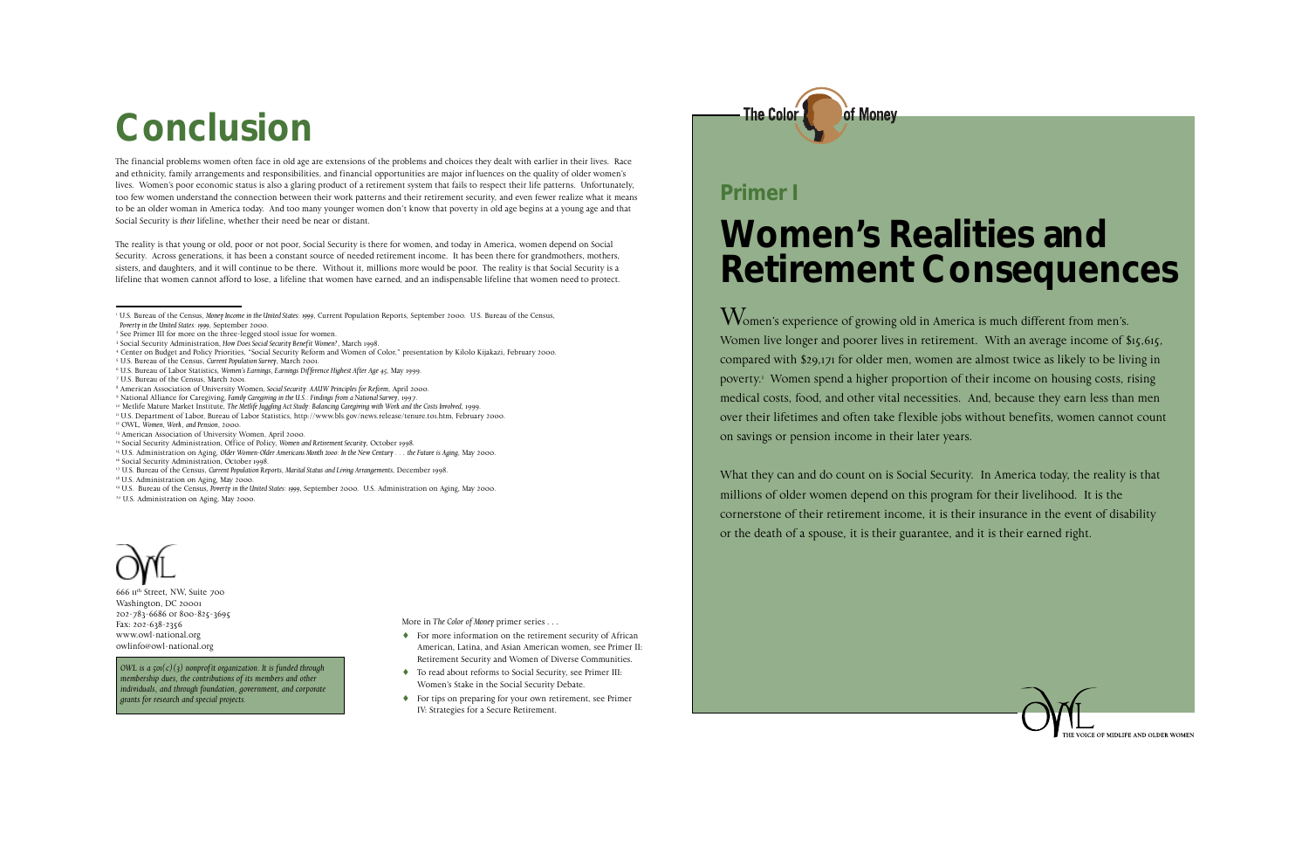## **Women's Realities and Retirement Consequences**

Women's experience of growing old in America is much different from men's. Women live longer and poorer lives in retirement. With an average income of \$15,615, compared with \$29,171 for older men, women are almost twice as likely to be living in poverty.1 Women spend a higher proportion of their income on housing costs, rising medical costs, food, and other vital necessities. And, because they earn less than men over their lifetimes and often take flexible jobs without benefits, women cannot count on savings or pension income in their later years.

What they can and do count on is Social Security. In America today, the reality is that millions of older women depend on this program for their livelihood. It is the cornerstone of their retirement income, it is their insurance in the event of disability or the death of a spouse, it is their guarantee, and it is their earned right.



### **Primer I**

The financial problems women often face in old age are extensions of the problems and choices they dealt with earlier in their lives. Race and ethnicity, family arrangements and responsibilities, and financial opportunities are major influences on the quality of older women's lives. Women's poor economic status is also a glaring product of a retirement system that fails to respect their life patterns. Unfortunately, too few women understand the connection between their work patterns and their retirement security, and even fewer realize what it means to be an older woman in America today. And too many younger women don't know that poverty in old age begins at a young age and that Social Security is *their* lifeline, whether their need be near or distant.

The reality is that young or old, poor or not poor, Social Security is there for women, and today in America, women depend on Social Security. Across generations, it has been a constant source of needed retirement income. It has been there for grandmothers, mothers, sisters, and daughters, and it will continue to be there. Without it, millions more would be poor. The reality is that Social Security is a lifeline that women cannot afford to lose, a lifeline that women have earned, and an indispensable lifeline that women need to protect.

666 11th Street, NW, Suite 700 Washington, DC 20001 202-783-6686 or 800-825-3695 Fax: 202-638-2356 www.owl-national.org owlinfo@owl-national.org

*OWL is a 501(c)(3) nonprofit organization. It is funded through membership dues, the contributions of its members and other individuals, and through foundation, government, and corporate grants for research and special projects.*

More in *The Color of Money* primer series . . .

- ♦ For more information on the retirement security of African American, Latina, and Asian American women, see Primer II: Retirement Security and Women of Diverse Communities.
- ♦ To read about reforms to Social Security, see Primer III: Women's Stake in the Social Security Debate.
- ♦ For tips on preparing for your own retirement, see Primer IV: Strategies for a Secure Retirement.

### of Monev **The Color**

## **Conclusion**

4 Center on Budget and Policy Priorities, "Social Security Reform and Women of Color," presentation by Kilolo Kijakazi, February 2000.

5 U.S. Bureau of the Census, *Current Population Survey*, March 2001.

- 9 National Alliance for Caregiving, *Family Caregiving in the U.S.: Findings from a National Survey*, 1997.
- <sup>10</sup> Metlife Mature Market Institute, *The Metlife Juggling Act Study: Balancing Caregiving with Work and the Costs Involved, 1999.*
- 11 U.S. Department of Labor, Bureau of Labor Statistics, http://www.bls.gov/news.release/tenure.t01.htm, February 2000.
- 12 OWL, *Women, Work, and Pension,* 2000.
- <sup>13</sup> American Association of University Women, April 2000.
- 14 Social Security Administration, Office of Policy, *Women and Retirement Security*, October 1998.
- 15 U.S. Administration on Aging, *Older Women-Older Americans Month 2000: In the New Century . . . the Future is Aging*, May 2000. 16 Social Security Administration, October 1998.
- <sup>17</sup> U.S. Bureau of the Census, Current Population Reports, Marital Status and Living Arrangements, December 1998.
- 18 U.S. Administration on Aging, May 2000.

<sup>1</sup> U.S. Bureau of the Census, *Money Income in the United States: 1999*, Current Population Reports, September 2000. U.S. Bureau of the Census,  *Poverty in the United States: 1999*, September 2000.

<sup>2</sup> See Primer III for more on the three-legged stool issue for women.

<sup>3</sup> Social Security Administration, *How Does Social Security Benefit Women?*, March 1998.

<sup>6</sup> U.S. Bureau of Labor Statistics, *Women's Earnings, Earnings Difference Highest After Age 45*, May 1999.

<sup>7</sup> U.S. Bureau of the Census, March 2001.

<sup>8</sup> American Association of University Women, *Social Security: AAUW Principles for Reform*, April 2000.

<sup>19</sup> U.S. Bureau of the Census, *Poverty in the United States: 1999*, September 2000. U.S. Administration on Aging, May 2000. 20 U.S. Administration on Aging, May 2000.